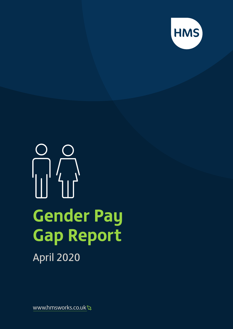

# **Gender Pay Gap Report** April 2020

www.hmsworks.co.uk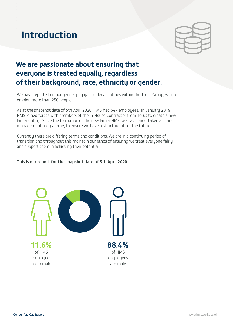## **Introduction**

 $\ddot{\phantom{0}}$ 

## **We are passionate about ensuring that everyone is treated equally, regardless of their background, race, ethnicity or gender.**

We have reported on our gender pay gap for legal entities within the Torus Group, which employ more than 250 people.

As at the snapshot date of 5th April 2020, HMS had 647 employees. In January 2019, HMS joined forces with members of the In-House Contractor from Torus to create a new larger entity. Since the formation of the new larger HMS, we have undertaken a change management programme, to ensure we have a structure fit for the future.

Currently there are differing terms and conditions. We are in a continuing period of transition and throughout this maintain our ethos of ensuring we treat everyone fairly and support them in achieving their potential.

#### This is our report for the snapshot date of 5th April 2020:

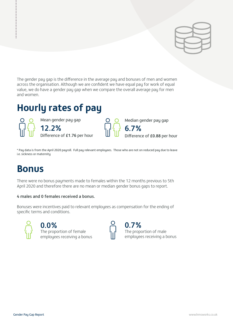

The gender pay gap is the difference in the average pay and bonuses of men and women across the organisation. Although we are confident we have equal pay for work of equal value, we do have a gender pay gap when we compare the overall average pay for men and women.

## **Hourly rates of pay**

Mean gender pay gap 12.2% Difference of £1.76 per hour Median gender pay gap

6.7% Difference of £0.88 per hour

\* Pay data is from the April 2020 payroll. Full pay relevant employees. Those who are not on reduced pay due to leave i.e. sickness or maternity

## **Bonus**

................

There were no bonus payments made to females within the 12 months previous to 5th April 2020 and therefore there are no mean or median gender bonus gaps to report.

## 4 males and 0 females received a bonus.

Bonuses were incentives paid to relevant employees as compensation for the ending of specific terms and conditions.



0.7%

The proportion of male employees receiving a bonus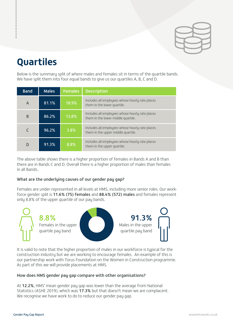

## **Quartiles**

............

Below is the summary split of where males and females sit in terms of the quartile bands. We have split them into four equal bands to give us our quartiles A, B, C and D.

| <b>Band</b> | <b>Males</b> | <b>Females</b> | <b>Description</b>                                                                    |  |
|-------------|--------------|----------------|---------------------------------------------------------------------------------------|--|
| A           | 81.1%        | 18.9%          | Includes all employees whose hourly rate places<br>them in the lower quartile.        |  |
| B           | 86.2%        | 13.8%          | Includes all employees whose hourly rate places<br>them in the lower middle quartile. |  |
|             | 96.2%        | 3.8%           | Includes all employees whose hourly rate places<br>them in the upper middle quartile. |  |
|             | 91.3%        | 8.8%           | Includes all employees whose hourly rate places<br>them in the upper quartile.        |  |

The above table shows there is a higher proportion of females in Bands A and B than there are in Bands C and D. Overall there is a higher proportion of males than females in all Bands..

### What are the underlying causes of our gender pay gap?

Females are under-represented in all levels at HMS, including more senior roles. Our workforce gender split is 11.6% (75) females and 88.4% (572) males and females represent onlu 8.8% of the upper quartile of our pay bands.



It is valid to note that the higher proportion of males in our workforce is typical for the construction industry but we are working to encourage females. An example of this is our partnership work with Torus Foundation on the Women in Construction programme. As part of this we will provide placements at HMS.

### How does HMS gender pay gap compare with other organisations?

At 12.2%, HMS' mean gender pay gap was lower than the average from National Statistics (ASHE 2019), which was 17.3% but that doesn't mean we are complacent. We recognise we have work to do to reduce our gender pay gap.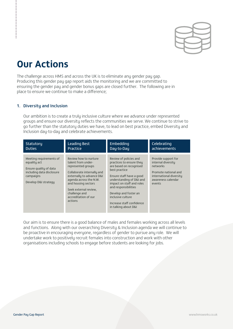

## **Our Actions**

The challenge across HMS and across the UK is to eliminate any gender pay gap. Producing this gender pay gap report aids the monitoring and we are committed to ensuring the gender pay and gender bonus gaps are closed further. The following are in place to ensure we continue to make a difference;

#### 1. Diversity and Inclusion

Our ambition is to create a truly inclusive culture where we advance under represented groups and ensure our diversity reflects the communities we serve. We continue to strive to go further than the statutory duties we have, to lead on best practice, embed Diversity and Inclusion day-to-day and celebrate achievements.

| Statutory                                                                                                                           | <b>Leading Best</b>                                                                                                                                                                                                                                        | Embedding                                                                                                                                                                                                                                                                                                      | Celebrating                                                                                                                              |
|-------------------------------------------------------------------------------------------------------------------------------------|------------------------------------------------------------------------------------------------------------------------------------------------------------------------------------------------------------------------------------------------------------|----------------------------------------------------------------------------------------------------------------------------------------------------------------------------------------------------------------------------------------------------------------------------------------------------------------|------------------------------------------------------------------------------------------------------------------------------------------|
| <b>Duties</b>                                                                                                                       | Practice                                                                                                                                                                                                                                                   | Day-to-Day                                                                                                                                                                                                                                                                                                     | achievements                                                                                                                             |
| Meeting requirements of<br>equality act<br>Ensure quality of data<br>including data disclosure<br>campaigns<br>Develop D&I strategy | Review how to nurture<br>talent from under-<br>represented groups<br>Collaborate internally and<br>externally to advance D&I<br>agenda across the N.W.<br>and housing sectors<br>Seek external review.<br>challenge and<br>accreditation of our<br>actions | Review of policies and<br>practices to ensure they<br>are based on recognised<br>best practice<br>Ensure staff have a good<br>understanding of D&I and<br>impact on staff and roles<br>and responsibilities<br>Develop and foster an<br>inclusive culture<br>Increase staff confidence<br>in talking about D&I | Provide support for<br>internal diversity<br>networks<br>Promote national and<br>international diversity<br>awareness calendar<br>events |

Our aim is to ensure there is a good balance of males and females working across all levels and functions. Along with our overarching Diversity & Inclusion agenda we will continue to be proactive in encouraging everyone, regardless of gender to pursue any role. We will undertake work to positively recruit females into construction and work with other organisations including schools to engage before students are looking for jobs.